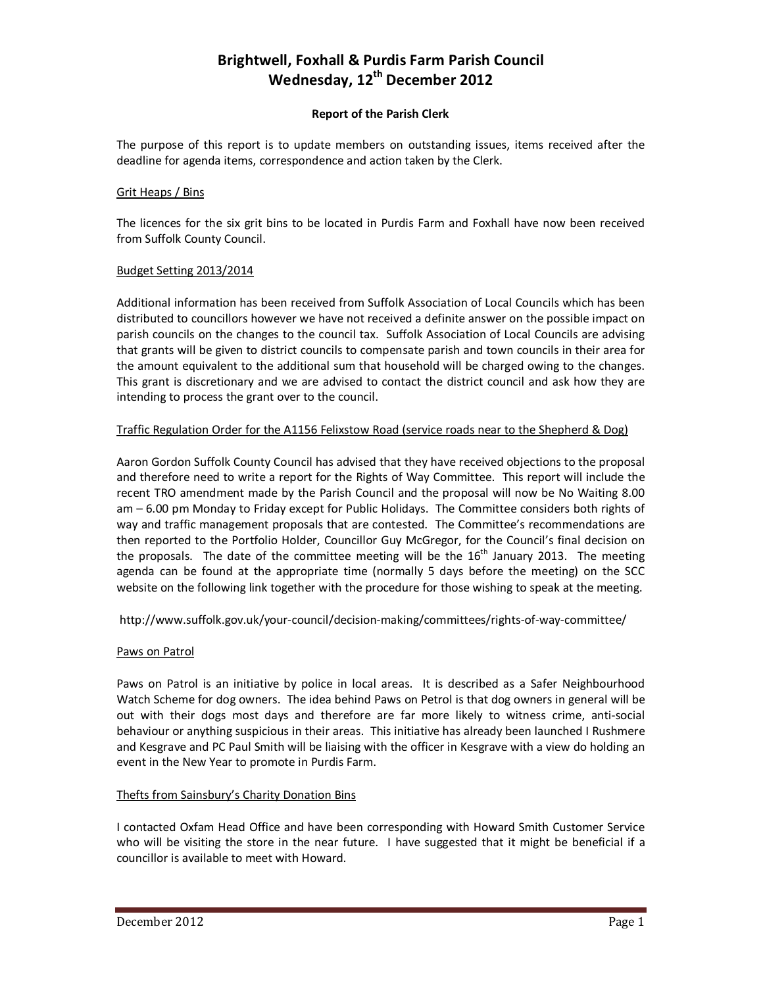# **Brightwell, Foxhall & Purdis Farm Parish Council Wednesday, 12th December 2012**

# **Report of the Parish Clerk**

The purpose of this report is to update members on outstanding issues, items received after the deadline for agenda items, correspondence and action taken by the Clerk.

# Grit Heaps / Bins

The licences for the six grit bins to be located in Purdis Farm and Foxhall have now been received from Suffolk County Council.

#### Budget Setting 2013/2014

Additional information has been received from Suffolk Association of Local Councils which has been distributed to councillors however we have not received a definite answer on the possible impact on parish councils on the changes to the council tax. Suffolk Association of Local Councils are advising that grants will be given to district councils to compensate parish and town councils in their area for the amount equivalent to the additional sum that household will be charged owing to the changes. This grant is discretionary and we are advised to contact the district council and ask how they are intending to process the grant over to the council.

# Traffic Regulation Order for the A1156 Felixstow Road (service roads near to the Shepherd & Dog)

Aaron Gordon Suffolk County Council has advised that they have received objections to the proposal and therefore need to write a report for the Rights of Way Committee. This report will include the recent TRO amendment made by the Parish Council and the proposal will now be No Waiting 8.00 am – 6.00 pm Monday to Friday except for Public Holidays. The Committee considers both rights of way and traffic management proposals that are contested. The Committee's recommendations are then reported to the Portfolio Holder, Councillor Guy McGregor, for the Council's final decision on the proposals. The date of the committee meeting will be the  $16<sup>th</sup>$  January 2013. The meeting agenda can be found at the appropriate time (normally 5 days before the meeting) on the SCC website on the following link together with the procedure for those wishing to speak at the meeting.

http://www.suffolk.gov.uk/your-council/decision-making/committees/rights-of-way-committee/

# Paws on Patrol

Paws on Patrol is an initiative by police in local areas. It is described as a Safer Neighbourhood Watch Scheme for dog owners. The idea behind Paws on Petrol is that dog owners in general will be out with their dogs most days and therefore are far more likely to witness crime, anti-social behaviour or anything suspicious in their areas. This initiative has already been launched I Rushmere and Kesgrave and PC Paul Smith will be liaising with the officer in Kesgrave with a view do holding an event in the New Year to promote in Purdis Farm.

# Thefts from Sainsbury's Charity Donation Bins

I contacted Oxfam Head Office and have been corresponding with Howard Smith Customer Service who will be visiting the store in the near future. I have suggested that it might be beneficial if a councillor is available to meet with Howard.